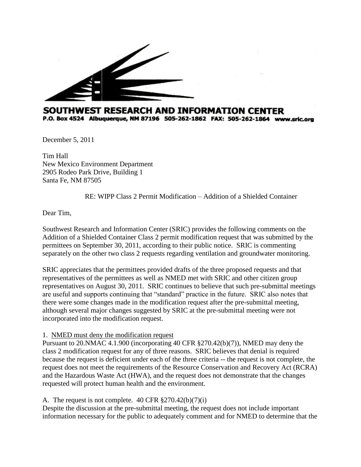

## SOUTHWEST RESEARCH AND INFORMATION CENTER P.O. Box 4524 Albuquerque, NM 87196 505-262-1862 FAX: 505-262-1864 www.sric.org

December 5, 2011

Tim Hall New Mexico Environment Department 2905 Rodeo Park Drive, Building 1 Santa Fe, NM 87505

RE: WIPP Class 2 Permit Modification – Addition of a Shielded Container

Dear Tim,

Southwest Research and Information Center (SRIC) provides the following comments on the Addition of a Shielded Container Class 2 permit modification request that was submitted by the permittees on September 30, 2011, according to their public notice. SRIC is commenting separately on the other two class 2 requests regarding ventilation and groundwater monitoring.

SRIC appreciates that the permittees provided drafts of the three proposed requests and that representatives of the permittees as well as NMED met with SRIC and other citizen group representatives on August 30, 2011. SRIC continues to believe that such pre-submittal meetings are useful and supports continuing that "standard" practice in the future. SRIC also notes that there were some changes made in the modification request after the pre-submittal meeting, although several major changes suggested by SRIC at the pre-submittal meeting were not incorporated into the modification request.

## 1. NMED must deny the modification request

Pursuant to 20.NMAC 4.1.900 (incorporating 40 CFR §270.42(b)(7)), NMED may deny the class 2 modification request for any of three reasons. SRIC believes that denial is required because the request is deficient under each of the three criteria -- the request is not complete, the request does not meet the requirements of the Resource Conservation and Recovery Act (RCRA) and the Hazardous Waste Act (HWA), and the request does not demonstrate that the changes requested will protect human health and the environment.

## A. The request is not complete.  $40 \text{ CFR } \frac{270.42(b)}{7)(i}$

Despite the discussion at the pre-submittal meeting, the request does not include important information necessary for the public to adequately comment and for NMED to determine that the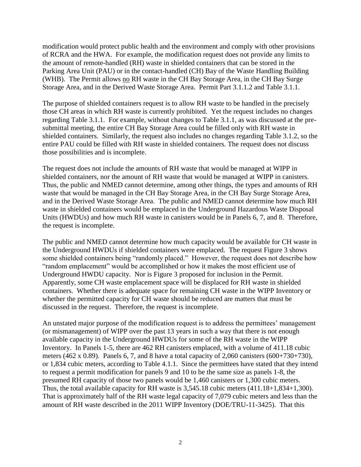modification would protect public health and the environment and comply with other provisions of RCRA and the HWA. For example, the modification request does not provide any limits to the amount of remote-handled (RH) waste in shielded containers that can be stored in the Parking Area Unit (PAU) or in the contact-handled (CH) Bay of the Waste Handling Building (WHB). The Permit allows no RH waste in the CH Bay Storage Area, in the CH Bay Surge Storage Area, and in the Derived Waste Storage Area. Permit Part 3.1.1.2 and Table 3.1.1.

The purpose of shielded containers request is to allow RH waste to be handled in the precisely those CH areas in which RH waste is currently prohibited. Yet the request includes no changes regarding Table 3.1.1. For example, without changes to Table 3.1.1, as was discussed at the presubmittal meeting, the entire CH Bay Storage Area could be filled only with RH waste in shielded containers. Similarly, the request also includes no changes regarding Table 3.1.2, so the entire PAU could be filled with RH waste in shielded containers. The request does not discuss those possibilities and is incomplete.

The request does not include the amounts of RH waste that would be managed at WIPP in shielded containers, nor the amount of RH waste that would be managed at WIPP in canisters. Thus, the public and NMED cannot determine, among other things, the types and amounts of RH waste that would be managed in the CH Bay Storage Area, in the CH Bay Surge Storage Area, and in the Derived Waste Storage Area. The public and NMED cannot determine how much RH waste in shielded containers would be emplaced in the Underground Hazardous Waste Disposal Units (HWDUs) and how much RH waste in canisters would be in Panels 6, 7, and 8. Therefore, the request is incomplete.

The public and NMED cannot determine how much capacity would be available for CH waste in the Underground HWDUs if shielded containers were emplaced. The request Figure 3 shows some shielded containers being "randomly placed." However, the request does not describe how "random emplacement" would be accomplished or how it makes the most efficient use of Underground HWDU capacity. Nor is Figure 3 proposed for inclusion in the Permit. Apparently, some CH waste emplacement space will be displaced for RH waste in shielded containers. Whether there is adequate space for remaining CH waste in the WIPP Inventory or whether the permitted capacity for CH waste should be reduced are matters that must be discussed in the request. Therefore, the request is incomplete.

An unstated major purpose of the modification request is to address the permittees' management (or mismanagement) of WIPP over the past 13 years in such a way that there is not enough available capacity in the Underground HWDUs for some of the RH waste in the WIPP Inventory. In Panels 1-5, there are 462 RH canisters emplaced, with a volume of 411.18 cubic meters (462 x 0.89). Panels 6, 7, and 8 have a total capacity of 2,060 canisters (600+730+730), or 1,834 cubic meters, according to Table 4.1.1. Since the permittees have stated that they intend to request a permit modification for panels 9 and 10 to be the same size as panels 1-8, the presumed RH capacity of those two panels would be 1,460 canisters or 1,300 cubic meters. Thus, the total available capacity for RH waste is 3,545.18 cubic meters (411.18+1,834+1,300). That is approximately half of the RH waste legal capacity of 7,079 cubic meters and less than the amount of RH waste described in the 2011 WIPP Inventory (DOE/TRU-11-3425). That this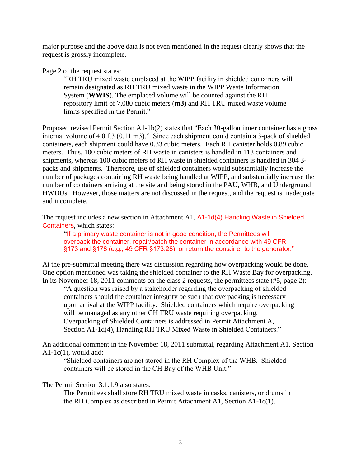major purpose and the above data is not even mentioned in the request clearly shows that the request is grossly incomplete.

Page 2 of the request states:

"RH TRU mixed waste emplaced at the WIPP facility in shielded containers will remain designated as RH TRU mixed waste in the WIPP Waste Information System (**WWIS**). The emplaced volume will be counted against the RH repository limit of 7,080 cubic meters (**m3**) and RH TRU mixed waste volume limits specified in the Permit."

Proposed revised Permit Section A1-1b(2) states that "Each 30-gallon inner container has a gross internal volume of 4.0 ft3 (0.11 m3)." Since each shipment could contain a 3-pack of shielded containers, each shipment could have 0.33 cubic meters. Each RH canister holds 0.89 cubic meters. Thus, 100 cubic meters of RH waste in canisters is handled in 113 containers and shipments, whereas 100 cubic meters of RH waste in shielded containers is handled in 304 3 packs and shipments. Therefore, use of shielded containers would substantially increase the number of packages containing RH waste being handled at WIPP, and substantially increase the number of containers arriving at the site and being stored in the PAU, WHB, and Underground HWDUs. However, those matters are not discussed in the request, and the request is inadequate and incomplete.

The request includes a new section in Attachment A1, A1-1d(4) Handling Waste in Shielded Containers, which states:

"If a primary waste container is not in good condition, the Permittees will overpack the container, repair/patch the container in accordance with 49 CFR §173 and §178 (e.g., 49 CFR §173.28), or return the container to the generator."

At the pre-submittal meeting there was discussion regarding how overpacking would be done. One option mentioned was taking the shielded container to the RH Waste Bay for overpacking. In its November 18, 2011 comments on the class 2 requests, the permittees state (#5, page 2):

"A question was raised by a stakeholder regarding the overpacking of shielded containers should the container integrity be such that overpacking is necessary upon arrival at the WIPP facility. Shielded containers which require overpacking will be managed as any other CH TRU waste requiring overpacking. Overpacking of Shielded Containers is addressed in Permit Attachment A, Section A1-1d(4), Handling RH TRU Mixed Waste in Shielded Containers."

An additional comment in the November 18, 2011 submittal, regarding Attachment A1, Section A1-1c(1), would add:

"Shielded containers are not stored in the RH Complex of the WHB. Shielded containers will be stored in the CH Bay of the WHB Unit."

The Permit Section 3.1.1.9 also states:

The Permittees shall store RH TRU mixed waste in casks, canisters, or drums in the RH Complex as described in Permit Attachment A1, Section A1-1c(1).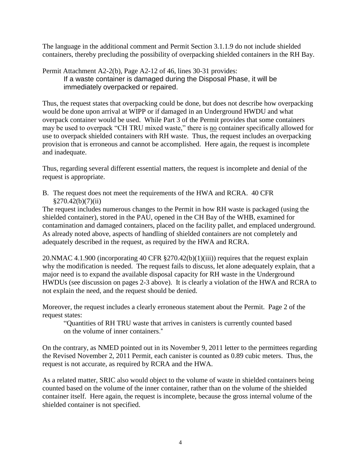The language in the additional comment and Permit Section 3.1.1.9 do not include shielded containers, thereby precluding the possibility of overpacking shielded containers in the RH Bay.

Permit Attachment A2-2(b), Page A2-12 of 46, lines 30-31 provides: If a waste container is damaged during the Disposal Phase, it will be immediately overpacked or repaired.

Thus, the request states that overpacking could be done, but does not describe how overpacking would be done upon arrival at WIPP or if damaged in an Underground HWDU and what overpack container would be used. While Part 3 of the Permit provides that some containers may be used to overpack "CH TRU mixed waste," there is <u>no</u> container specifically allowed for use to overpack shielded containers with RH waste. Thus, the request includes an overpacking provision that is erroneous and cannot be accomplished. Here again, the request is incomplete and inadequate.

Thus, regarding several different essential matters, the request is incomplete and denial of the request is appropriate.

B. The request does not meet the requirements of the HWA and RCRA. 40 CFR  $§270.42(b)(7)(ii)$ 

The request includes numerous changes to the Permit in how RH waste is packaged (using the shielded container), stored in the PAU, opened in the CH Bay of the WHB, examined for contamination and damaged containers, placed on the facility pallet, and emplaced underground. As already noted above, aspects of handling of shielded containers are not completely and adequately described in the request, as required by the HWA and RCRA.

20.NMAC 4.1.900 (incorporating 40 CFR §270.42(b)(1)(iii)) requires that the request explain why the modification is needed. The request fails to discuss, let alone adequately explain, that a major need is to expand the available disposal capacity for RH waste in the Underground HWDUs (see discussion on pages 2-3 above). It is clearly a violation of the HWA and RCRA to not explain the need, and the request should be denied.

Moreover, the request includes a clearly erroneous statement about the Permit. Page 2 of the request states:

"Quantities of RH TRU waste that arrives in canisters is currently counted based on the volume of inner containers."

On the contrary, as NMED pointed out in its November 9, 2011 letter to the permittees regarding the Revised November 2, 2011 Permit, each canister is counted as 0.89 cubic meters. Thus, the request is not accurate, as required by RCRA and the HWA.

As a related matter, SRIC also would object to the volume of waste in shielded containers being counted based on the volume of the inner container, rather than on the volume of the shielded container itself. Here again, the request is incomplete, because the gross internal volume of the shielded container is not specified.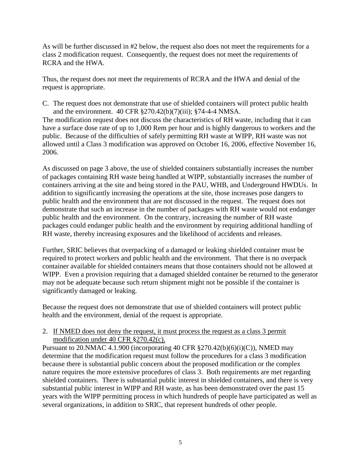As will be further discussed in #2 below, the request also does not meet the requirements for a class 2 modification request. Consequently, the request does not meet the requirements of RCRA and the HWA.

Thus, the request does not meet the requirements of RCRA and the HWA and denial of the request is appropriate.

C. The request does not demonstrate that use of shielded containers will protect public health and the environment. 40 CFR §270.42(b)(7)(iii); §74-4-4 NMSA.

The modification request does not discuss the characteristics of RH waste, including that it can have a surface dose rate of up to 1,000 Rem per hour and is highly dangerous to workers and the public. Because of the difficulties of safely permitting RH waste at WIPP, RH waste was not allowed until a Class 3 modification was approved on October 16, 2006, effective November 16, 2006.

As discussed on page 3 above, the use of shielded containers substantially increases the number of packages containing RH waste being handled at WIPP, substantially increases the number of containers arriving at the site and being stored in the PAU, WHB, and Underground HWDUs. In addition to significantly increasing the operations at the site, those increases pose dangers to public health and the environment that are not discussed in the request. The request does not demonstrate that such an increase in the number of packages with RH waste would not endanger public health and the environment. On the contrary, increasing the number of RH waste packages could endanger public health and the environment by requiring additional handling of RH waste, thereby increasing exposures and the likelihood of accidents and releases.

Further, SRIC believes that overpacking of a damaged or leaking shielded container must be required to protect workers and public health and the environment. That there is no overpack container available for shielded containers means that those containers should not be allowed at WIPP. Even a provision requiring that a damaged shielded container be returned to the generator may not be adequate because such return shipment might not be possible if the container is significantly damaged or leaking.

Because the request does not demonstrate that use of shielded containers will protect public health and the environment, denial of the request is appropriate.

## 2. If NMED does not deny the request, it must process the request as a class 3 permit modification under 40 CFR §270.42(c).

Pursuant to 20. NMAC 4.1.900 (incorporating 40 CFR  $\S 270.42(b)(6)(i)(C)$ ), NMED may determine that the modification request must follow the procedures for a class 3 modification because there is substantial public concern about the proposed modification or the complex nature requires the more extensive procedures of class 3. Both requirements are met regarding shielded containers. There is substantial public interest in shielded containers, and there is very substantial public interest in WIPP and RH waste, as has been demonstrated over the past 15 years with the WIPP permitting process in which hundreds of people have participated as well as several organizations, in addition to SRIC, that represent hundreds of other people.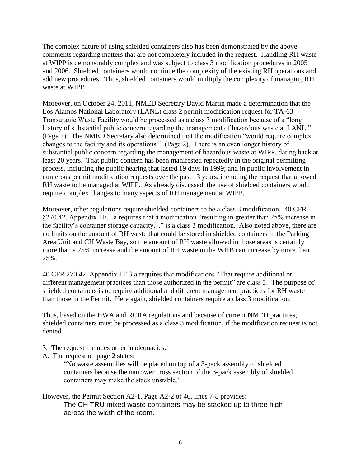The complex nature of using shielded containers also has been demonstrated by the above comments regarding matters that are not completely included in the request. Handling RH waste at WIPP is demonstrably complex and was subject to class 3 modification procedures in 2005 and 2006. Shielded containers would continue the complexity of the existing RH operations and add new procedures. Thus, shielded containers would multiply the complexity of managing RH waste at WIPP.

Moreover, on October 24, 2011, NMED Secretary David Martin made a determination that the Los Alamos National Laboratory (LANL) class 2 permit modification request for TA-63 Transuranic Waste Facility would be processed as a class 3 modification because of a "long history of substantial public concern regarding the management of hazardous waste at LANL." (Page 2). The NMED Secretary also determined that the modification "would require complex changes to the facility and its operations." (Page 2). There is an even longer history of substantial public concern regarding the management of hazardous waste at WIPP, dating back at least 20 years. That public concern has been manifested repeatedly in the original permitting process, including the public hearing that lasted 19 days in 1999; and in public involvement in numerous permit modification requests over the past 13 years, including the request that allowed RH waste to be managed at WIPP. As already discussed, the use of shielded containers would require complex changes to many aspects of RH management at WIPP.

Moreover, other regulations require shielded containers to be a class 3 modification. 40 CFR §270.42, Appendix I.F.1.a requires that a modification "resulting in greater than 25% increase in the facility's container storage capacity…" is a class 3 modification. Also noted above, there are no limits on the amount of RH waste that could be stored in shielded containers in the Parking Area Unit and CH Waste Bay, so the amount of RH waste allowed in those areas is certainly more than a 25% increase and the amount of RH waste in the WHB can increase by more than 25%.

40 CFR 270.42, Appendix I F.3.a requires that modifications "That require additional or different management practices than those authorized in the permit" are class 3. The purpose of shielded containers is to require additional and different management practices for RH waste than those in the Permit. Here again, shielded containers require a class 3 modification.

Thus, based on the HWA and RCRA regulations and because of current NMED practices, shielded containers must be processed as a class 3 modification, if the modification request is not denied.

- 3. The request includes other inadequacies.
- A. The request on page 2 states:

"No waste assemblies will be placed on top of a 3-pack assembly of shielded containers because the narrower cross section of the 3-pack assembly of shielded containers may make the stack unstable."

However, the Permit Section A2-1, Page A2-2 of 46, lines 7-8 provides: The CH TRU mixed waste containers may be stacked up to three high across the width of the room.